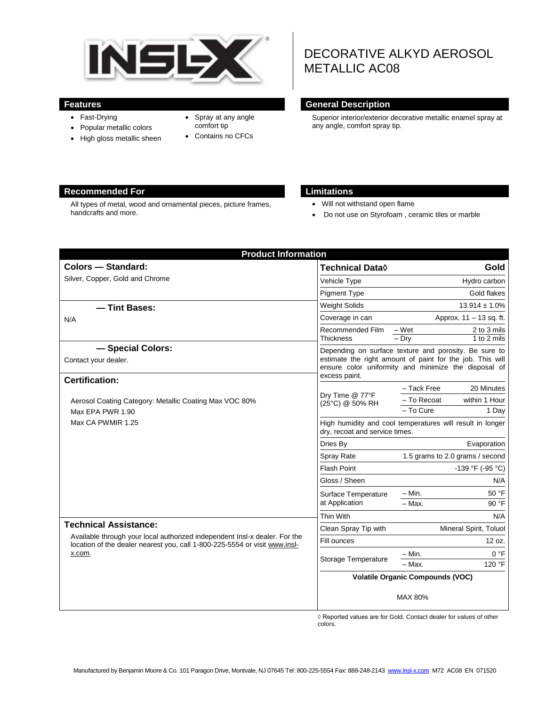

- Fast-Drying
- Popular metallic colors
- High gloss metallic sheen
- Spray at any angle comfort tip
- Contains no CFCs

# DECORATIVE ALKYD AEROSOL METALLIC AC08

#### **Features General Description**

Superior interior/exterior decorative metallic enamel spray at any angle, comfort spray tip.

#### **Recommended For Limitations**

All types of metal, wood and ornamental pieces, picture frames, handcrafts and more.

- Will not withstand open flame
- Do not use on Styrofoam , ceramic tiles or marble

| <b>Colors - Standard:</b>                                                                                                                                                                          | <b>Technical Data</b> ♦                                                                                                                                                                     | Gold                                            |
|----------------------------------------------------------------------------------------------------------------------------------------------------------------------------------------------------|---------------------------------------------------------------------------------------------------------------------------------------------------------------------------------------------|-------------------------------------------------|
| Silver, Copper, Gold and Chrome                                                                                                                                                                    | Vehicle Type                                                                                                                                                                                | Hydro carbon                                    |
|                                                                                                                                                                                                    | <b>Pigment Type</b>                                                                                                                                                                         | Gold flakes                                     |
| - Tint Bases:<br>N/A                                                                                                                                                                               | <b>Weight Solids</b>                                                                                                                                                                        | $13.914 \pm 1.0\%$                              |
|                                                                                                                                                                                                    | Coverage in can                                                                                                                                                                             | Approx. 11 - 13 sq. ft.                         |
|                                                                                                                                                                                                    | Recommended Film<br><b>Thickness</b>                                                                                                                                                        | $-Wet$<br>2 to 3 mils<br>$-$ Drv<br>1 to 2 mils |
| - Special Colors:<br>Contact your dealer.<br><b>Certification:</b>                                                                                                                                 | Depending on surface texture and porosity. Be sure to<br>estimate the right amount of paint for the job. This will<br>ensure color uniformity and minimize the disposal of<br>excess paint. |                                                 |
| Aerosol Coating Category: Metallic Coating Max VOC 80%<br>Max EPA PWR 1.90<br>Max CA PWMIR 1.25                                                                                                    | Dry Time @ 77°F<br>(25°C) @ 50% RH                                                                                                                                                          | - Tack Free<br>20 Minutes                       |
|                                                                                                                                                                                                    |                                                                                                                                                                                             | - To Recoat<br>within 1 Hour                    |
|                                                                                                                                                                                                    |                                                                                                                                                                                             | - To Cure<br>1 Day                              |
|                                                                                                                                                                                                    | High humidity and cool temperatures will result in longer<br>dry, recoat and service times.                                                                                                 |                                                 |
|                                                                                                                                                                                                    | Dries By                                                                                                                                                                                    | Evaporation                                     |
|                                                                                                                                                                                                    | Spray Rate                                                                                                                                                                                  | 1.5 grams to 2.0 grams / second                 |
|                                                                                                                                                                                                    | <b>Flash Point</b>                                                                                                                                                                          | $-139 °F (-95 °C)$                              |
|                                                                                                                                                                                                    | Gloss / Sheen                                                                                                                                                                               | N/A                                             |
|                                                                                                                                                                                                    | Surface Temperature<br>at Application                                                                                                                                                       | 50 °F<br>$-$ Min.                               |
|                                                                                                                                                                                                    |                                                                                                                                                                                             | 90 °F<br>- Max.                                 |
| <b>Technical Assistance:</b><br>Available through your local authorized independent Insl-x dealer. For the<br>location of the dealer nearest you, call 1-800-225-5554 or visit www.insl-<br>x.com. | Thin With                                                                                                                                                                                   | N/A                                             |
|                                                                                                                                                                                                    | Clean Spray Tip with                                                                                                                                                                        | Mineral Spirit, Toluol                          |
|                                                                                                                                                                                                    | Fill ounces                                                                                                                                                                                 | 12 oz.                                          |
|                                                                                                                                                                                                    | Storage Temperature                                                                                                                                                                         | 0 °F<br>$- Min.$                                |
|                                                                                                                                                                                                    |                                                                                                                                                                                             | 120 °F<br>$-$ Max.                              |
|                                                                                                                                                                                                    | <b>Volatile Organic Compounds (VOC)</b>                                                                                                                                                     |                                                 |
|                                                                                                                                                                                                    |                                                                                                                                                                                             | MAX 80%                                         |

◊ Reported values are for Gold. Contact dealer for values of other colors.